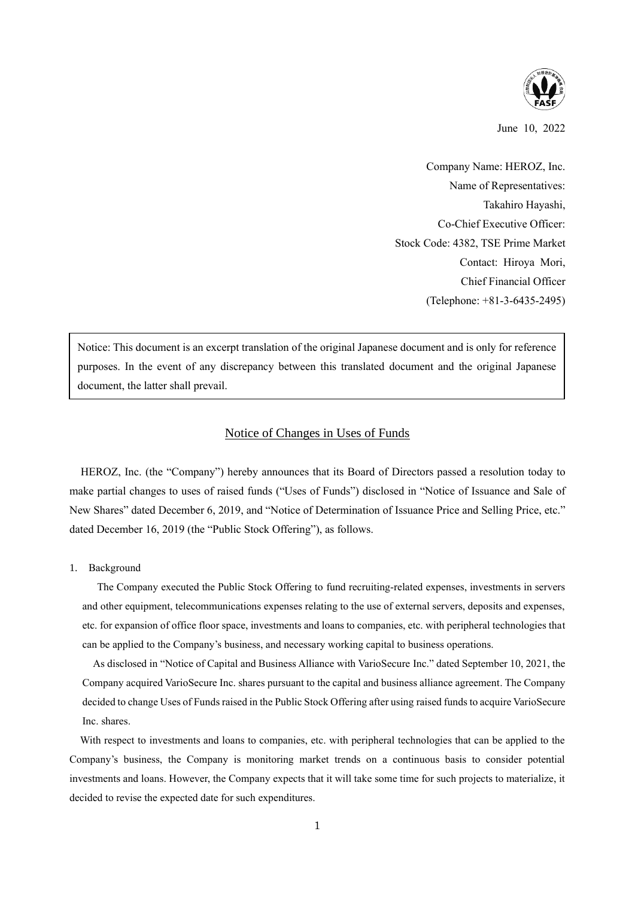

June 10, 2022

Company Name: HEROZ, Inc. Name of Representatives: Takahiro Hayashi, Co-Chief Executive Officer: Stock Code: 4382, TSE Prime Market Contact: Hiroya Mori, Chief Financial Officer (Telephone: +81-3-6435-2495)

Notice: This document is an excerpt translation of the original Japanese document and is only for reference purposes. In the event of any discrepancy between this translated document and the original Japanese document, the latter shall prevail.

# Notice of Changes in Uses of Funds

HEROZ, Inc. (the "Company") hereby announces that its Board of Directors passed a resolution today to make partial changes to uses of raised funds ("Uses of Funds") disclosed in "Notice of Issuance and Sale of New Shares" dated December 6, 2019, and "Notice of Determination of Issuance Price and Selling Price, etc." dated December 16, 2019 (the "Public Stock Offering"), as follows.

### 1. Background

The Company executed the Public Stock Offering to fund recruiting-related expenses, investments in servers and other equipment, telecommunications expenses relating to the use of external servers, deposits and expenses, etc. for expansion of office floor space, investments and loans to companies, etc. with peripheral technologies that can be applied to the Company's business, and necessary working capital to business operations.

As disclosed in "Notice of Capital and Business Alliance with VarioSecure Inc." dated September 10, 2021, the Company acquired VarioSecure Inc. shares pursuant to the capital and business alliance agreement. The Company decided to change Uses of Funds raised in the Public Stock Offering after using raised funds to acquire VarioSecure Inc. shares.

With respect to investments and loans to companies, etc. with peripheral technologies that can be applied to the Company's business, the Company is monitoring market trends on a continuous basis to consider potential investments and loans. However, the Company expects that it will take some time for such projects to materialize, it decided to revise the expected date for such expenditures.